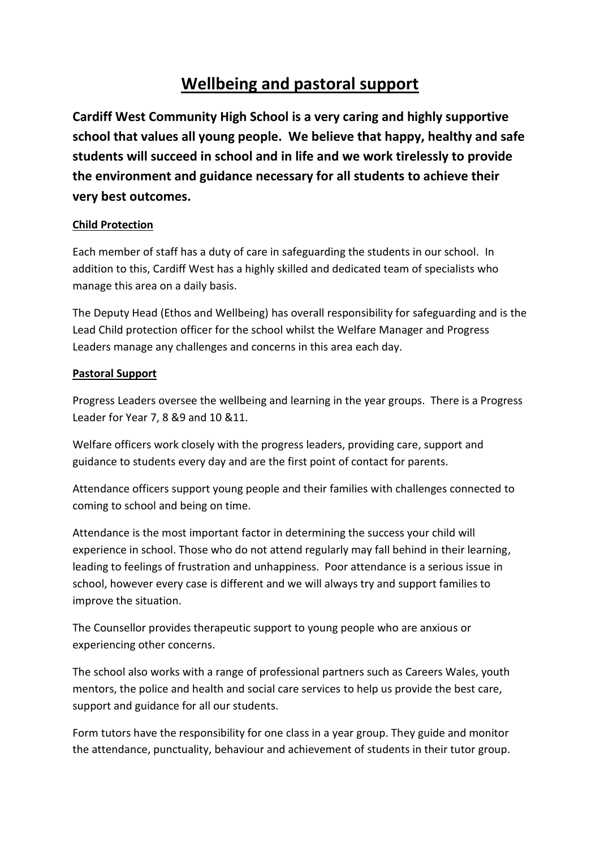## **Wellbeing and pastoral support**

**Cardiff West Community High School is a very caring and highly supportive school that values all young people. We believe that happy, healthy and safe students will succeed in school and in life and we work tirelessly to provide the environment and guidance necessary for all students to achieve their very best outcomes.**

## **Child Protection**

Each member of staff has a duty of care in safeguarding the students in our school. In addition to this, Cardiff West has a highly skilled and dedicated team of specialists who manage this area on a daily basis.

The Deputy Head (Ethos and Wellbeing) has overall responsibility for safeguarding and is the Lead Child protection officer for the school whilst the Welfare Manager and Progress Leaders manage any challenges and concerns in this area each day.

## **Pastoral Support**

Progress Leaders oversee the wellbeing and learning in the year groups. There is a Progress Leader for Year 7, 8 &9 and 10 &11.

Welfare officers work closely with the progress leaders, providing care, support and guidance to students every day and are the first point of contact for parents.

Attendance officers support young people and their families with challenges connected to coming to school and being on time.

Attendance is the most important factor in determining the success your child will experience in school. Those who do not attend regularly may fall behind in their learning, leading to feelings of frustration and unhappiness. Poor attendance is a serious issue in school, however every case is different and we will always try and support families to improve the situation.

The Counsellor provides therapeutic support to young people who are anxious or experiencing other concerns.

The school also works with a range of professional partners such as Careers Wales, youth mentors, the police and health and social care services to help us provide the best care, support and guidance for all our students.

Form tutors have the responsibility for one class in a year group. They guide and monitor the attendance, punctuality, behaviour and achievement of students in their tutor group.